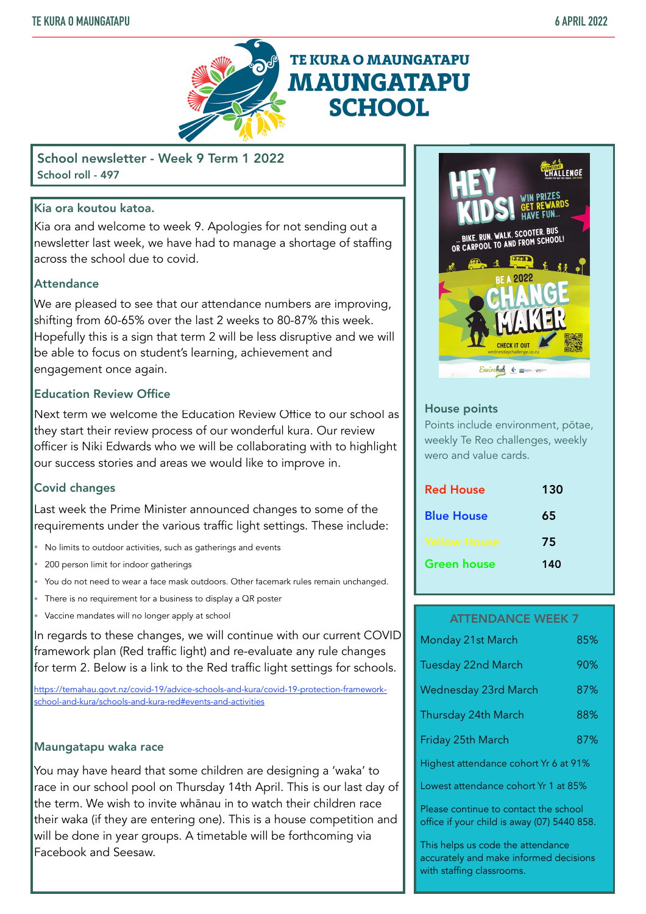

School newsletter - Week 9 Term 1 2022 School roll - 497

# Kia ora koutou katoa.

Kia ora and welcome to week 9. Apologies for not sending out a newsletter last week, we have had to manage a shortage of staffing across the school due to covid.

# **Attendance**

We are pleased to see that our attendance numbers are improving, shifting from 60-65% over the last 2 weeks to 80-87% this week. Hopefully this is a sign that term 2 will be less disruptive and we will be able to focus on student's learning, achievement and engagement once again.

# Education Review Office

Next term we welcome the Education Review Office to our school as they start their review process of our wonderful kura. Our review officer is Niki Edwards who we will be collaborating with to highlight our success stories and areas we would like to improve in.

# Covid changes

Last week the Prime Minister announced changes to some of the requirements under the various traffic light settings. These include:

- No limits to outdoor activities, such as gatherings and events
- 200 person limit for indoor gatherings
- You do not need to wear a face mask outdoors. Other facemark rules remain unchanged.
- There is no requirement for a business to display a QR poster
- Vaccine mandates will no longer apply at school

In regards to these changes, we will continue with our current COVID framework plan (Red traffic light) and re-evaluate any rule changes for term 2. Below is a link to the Red traffic light settings for schools.

[https://temahau.govt.nz/covid-19/advice-schools-and-kura/covid-19-protection-framework](https://temahau.govt.nz/covid-19/advice-schools-and-kura/covid-19-protection-framework-school-and-kura/schools-and-kura-red#events-and-activities)[school-and-kura/schools-and-kura-red#events-and-activities](https://temahau.govt.nz/covid-19/advice-schools-and-kura/covid-19-protection-framework-school-and-kura/schools-and-kura-red#events-and-activities)

# Maungatapu waka race

You may have heard that some children are designing a 'waka' to race in our school pool on Thursday 14th April. This is our last day of the term. We wish to invite whānau in to watch their children race their waka (if they are entering one). This is a house competition and will be done in year groups. A timetable will be forthcoming via Facebook and Seesaw.



## House points

Points include environment, pōtae, weekly Te Reo challenges, weekly wero and value cards.

| <b>Red House</b>  | 130 |
|-------------------|-----|
| <b>Blue House</b> | 65  |
| Yellow House      | 75  |
| Green house       | 140 |

### ATTENDANCE WEEK 7

| Monday 21st March           | 85% |
|-----------------------------|-----|
| <b>Tuesday 22nd March</b>   | 90% |
| <b>Wednesday 23rd March</b> | 87% |
| Thursday 24th March         | 88% |
| Friday 25th March           | 87% |
|                             |     |

Highest attendance cohort Yr 6 at 91%

Lowest attendance cohort Yr 1 at 85%

Please continue to contact the school office if your child is away (07) 5440 858.

This helps us code the attendance accurately and make informed decisions with staffing classrooms.